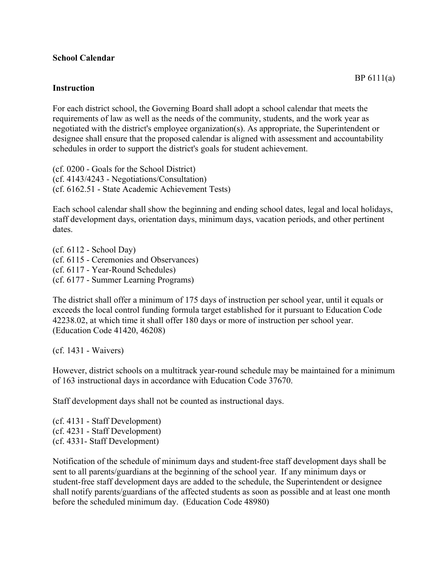## **School Calendar**

## **Instruction**

For each district school, the Governing Board shall adopt a school calendar that meets the requirements of law as well as the needs of the community, students, and the work year as negotiated with the district's employee organization(s). As appropriate, the Superintendent or designee shall ensure that the proposed calendar is aligned with assessment and accountability schedules in order to support the district's goals for student achievement.

(cf. 0200 - Goals for the School District) (cf. 4143/4243 - Negotiations/Consultation) (cf. 6162.51 - State Academic Achievement Tests)

Each school calendar shall show the beginning and ending school dates, legal and local holidays, staff development days, orientation days, minimum days, vacation periods, and other pertinent dates.

(cf. 6112 - School Day) (cf. 6115 - Ceremonies and Observances) (cf. 6117 - Year-Round Schedules) (cf. 6177 - Summer Learning Programs)

The district shall offer a minimum of 175 days of instruction per school year, until it equals or exceeds the local control funding formula target established for it pursuant to Education Code 42238.02, at which time it shall offer 180 days or more of instruction per school year. (Education Code 41420, 46208)

(cf. 1431 - Waivers)

However, district schools on a multitrack year-round schedule may be maintained for a minimum of 163 instructional days in accordance with Education Code 37670.

Staff development days shall not be counted as instructional days.

(cf. 4131 - Staff Development) (cf. 4231 - Staff Development) (cf. 4331- Staff Development)

Notification of the schedule of minimum days and student-free staff development days shall be sent to all parents/guardians at the beginning of the school year. If any minimum days or student-free staff development days are added to the schedule, the Superintendent or designee shall notify parents/guardians of the affected students as soon as possible and at least one month before the scheduled minimum day. (Education Code 48980)